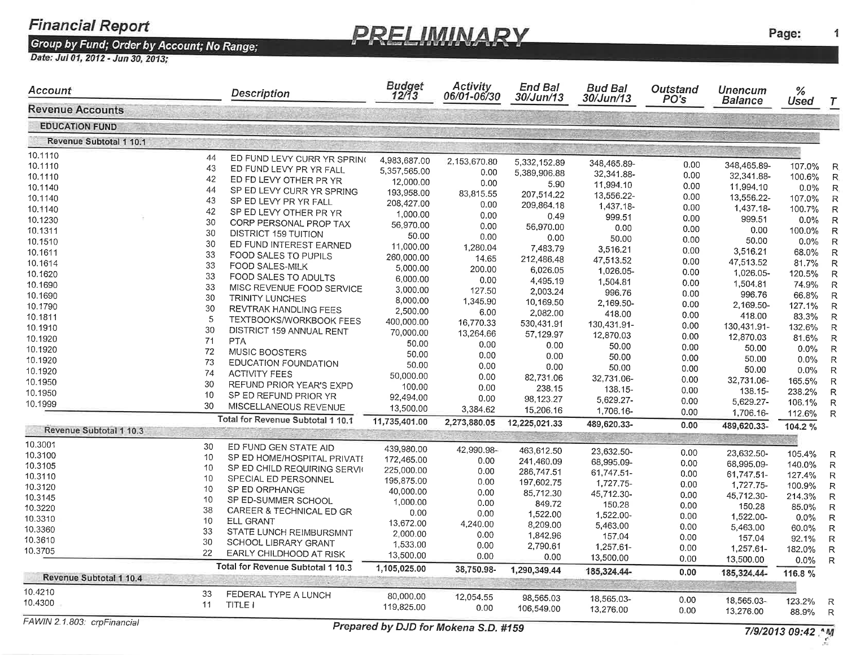**PRELIMINARY** 

Page:

1

| Account                     |    | Description                       | Budget<br>12/13 | <b>Activity</b><br>06/01-06/30       | <b>End Bal</b><br>30/Jun/13 | <b>Bud Bal</b><br>30/Jun/13 | Outstand<br>PO's | <b>Unencum</b><br><b>Balance</b> | %                |   |
|-----------------------------|----|-----------------------------------|-----------------|--------------------------------------|-----------------------------|-----------------------------|------------------|----------------------------------|------------------|---|
| <b>Revenue Accounts</b>     |    |                                   |                 |                                      |                             |                             |                  |                                  | Used             |   |
| <b>EDUCATION FUND</b>       |    |                                   |                 |                                      |                             |                             |                  |                                  |                  |   |
| Revenue Subtotal 1 10.1     |    |                                   |                 |                                      |                             |                             |                  |                                  |                  |   |
| 10.1110                     | 44 | ED FUND LEVY CURR YR SPRING       | 4,983,687.00    |                                      |                             |                             |                  |                                  |                  |   |
| 10.1110                     | 43 | ED FUND LEVY PR YR FALL           | 5,357,565.00    | 2,153,670.80                         | 5,332,152.89                | 348,465.89-                 | 0.00             | 348,465.89-                      | 107.0%           |   |
| 10.1110                     | 42 | ED FD LEVY OTHER PR YR            | 12,000.00       | 0.00                                 | 5,389,906.88                | 32,341.88-                  | 0.00             | 32,341.88-                       | 100.6%           |   |
| 10.1140                     | 44 | SP ED LEVY CURR YR SPRING         | 193,958.00      | 0.00                                 | 5.90                        | 11,994.10                   | 0.00             | 11,994.10                        | $0.0\%$          |   |
| 10.1140                     | 43 | SP ED LEVY PR YR FALL             | 208,427.00      | 83,815.55                            | 207,514.22                  | 13,556.22-                  | 0.00             | 13,556.22-                       | 107.0%           |   |
| 10.1140                     | 42 | SP ED LEVY OTHER PR YR            | 1,000.00        | 0.00                                 | 209,864.18                  | 1,437.18-                   | 0.00             | 1,437.18-                        | 100.7%           | R |
| 10.1230                     | 30 | CORP PERSONAL PROP TAX            | 56,970.00       | 0.00                                 | 0.49                        | 999.51                      | 0.00             | 999.51                           | $0.0\%$          | R |
| 10.1311                     | 30 | <b>DISTRICT 159 TUITION</b>       | 50.00           | 0.00                                 | 56,970.00                   | 0.00                        | 0.00             | 0.00                             | 100.0%           | R |
| 10.1510                     | 30 | ED FUND INTEREST EARNED           | 11,000.00       | 0.00                                 | 0.00                        | 50.00                       | 0.00             | 50.00                            | $0.0\%$          |   |
| 10.1611                     | 33 | FOOD SALES TO PUPILS              |                 | 1,280.04                             | 7,483.79                    | 3,516.21                    | 0.00             | 3,516.21                         | 68.0%            | R |
| 10.1614                     | 33 | <b>FOOD SALES-MILK</b>            | 260,000.00      | 14.65                                | 212,486.48                  | 47,513.52                   | 0.00             | 47,513.52                        | 81.7%            |   |
| 10.1620                     | 33 | FOOD SALES TO ADULTS              | 5,000.00        | 200.00                               | 6,026.05                    | 1,026.05-                   | 0.00             | 1,026.05-                        | 120.5%           | R |
| 10.1690                     | 33 | MISC REVENUE FOOD SERVICE         | 6,000.00        | 0.00                                 | 4,495.19                    | 1,504.81                    | 0.00             | 1,504.81                         | 74.9%            | R |
| 10.1690                     | 30 | TRINITY LUNCHES                   | 3,000.00        | 127.50                               | 2,003.24                    | 996.76                      | 0.00             | 996.76                           | 66.8%            | R |
| 10.1790                     | 30 | REVTRAK HANDLING FEES             | 8,000.00        | 1,345.90                             | 10,169.50                   | 2,169.50-                   | 0.00             | 2,169.50-                        | 127.1%           | R |
| 10.1811                     | 5  | TEXTBOOKS/WORKBOOK FEES           | 2,500.00        | 6.00                                 | 2,082.00                    | 418.00                      | 0.00             | 418.00                           | 83.3%            | R |
| 10.1910                     | 30 | DISTRICT 159 ANNUAL RENT          | 400,000.00      | 16,770.33                            | 530,431.91                  | 130,431.91-                 | 0.00             | 130,431.91-                      | 132.6%           | R |
| 10.1920                     | 71 | <b>PTA</b>                        | 70,000.00       | 13,264.66                            | 57,129.97                   | 12,870.03                   | 0.00             | 12,870.03                        | 81.6%            | R |
| 10.1920                     | 72 |                                   | 50.00           | 0.00                                 | 0.00                        | 50.00                       | 0.00             | 50.00                            | 0.0%             | R |
| 10.1920                     | 73 | MUSIC BOOSTERS                    | 50.00           | 0.00                                 | 0.00                        | 50.00                       | 0.00             | 50.00                            | 0.0%             | R |
| 10.1920                     |    | EDUCATION FOUNDATION              | 50.00           | 0.00                                 | 0.00                        | 50.00                       | 0.00             | 50.00                            | 0.0%             | R |
| 10.1950                     | 74 | <b>ACTIVITY FEES</b>              | 50,000.00       | 0.00                                 | 82,731.06                   | 32,731.06-                  | 0.00             | 32,731.06-                       | 165.5%           | R |
| 10.1950                     | 30 | REFUND PRIOR YEAR'S EXPD          | 100.00          | 0.00                                 | 238.15                      | 138.15-                     | 0.00             | 138.15-                          | 238.2%           | R |
| 10.1999                     | 10 | SP ED REFUND PRIOR YR             | 92,494.00       | 0.00                                 | 98,123.27                   | 5,629.27-                   | 0.00             | 5,629.27-                        | 106.1%           | R |
|                             | 30 | MISCELLANEOUS REVENUE             | 13,500.00       | 3,384.62                             | 15,206.16                   | 1,706.16-                   | 0.00             | 1,706.16-                        | 112.6%           | R |
|                             |    | Total for Revenue Subtotal 1 10.1 | 11,735,401.00   | 2,273,880.05                         | 12,225,021.33               | 489,620.33-                 | 0.00             | 489,620.33-                      | 104.2%           |   |
| Revenue Subtotal 1 10.3     |    |                                   |                 |                                      |                             |                             |                  |                                  |                  |   |
| 10.3001                     | 30 | ED FUND GEN STATE AID             | 439,980.00      | 42,990.98-                           | 463,612.50                  | 23,632.50-                  | 0.00             | 23,632.50-                       |                  |   |
| 10.3100                     | 10 | SP ED HOME/HOSPITAL PRIVATE       | 172,465.00      | 0.00                                 | 241,460.09                  | 68,995.09-                  | 0.00             | 68,995.09-                       | 105.4%<br>140.0% | R |
| 10.3105                     | 10 | SP ED CHILD REQUIRING SERVIC      | 225,000.00      | 0.00                                 | 286,747.51                  | 61,747.51-                  | 0.00             | 61,747.51-                       | 127.4%           | R |
| 10.3110                     | 10 | SPECIAL ED PERSONNEL              | 195,875.00      | 0.00                                 | 197,602.75                  | 1,727.75-                   | 0.00             | 1,727.75-                        | 100.9%           | R |
| 10.3120                     | 10 | SP ED ORPHANGE                    | 40,000.00       | 0.00                                 | 85,712.30                   | 45,712.30-                  | 0.00             | 45,712.30-                       | 214.3%           | R |
| 10.3145                     | 10 | SP ED-SUMMER SCHOOL               | 1,000.00        | 0.00                                 | 849.72                      | 150.28                      | 0.00             | 150.28                           |                  | R |
| 10.3220                     | 38 | CAREER & TECHNICAL ED GR          | 0.00            | 0.00                                 | 1,522.00                    | 1,522.00-                   | 0.00             | 1,522.00                         | 85.0%<br>$0.0\%$ | R |
| 10.3310                     | 10 | <b>ELL GRANT</b>                  | 13,672.00       | 4,240.00                             | 8,209.00                    | 5,463.00                    | 0.00             | 5,463.00                         | 60.0%            | R |
| 10.3360                     | 33 | STATE LUNCH REIMBURSMNT           | 2,000.00        | 0.00                                 | 1,842.96                    | 157.04                      | 0.00             | 157.04                           |                  | R |
| 10.3610                     | 30 | SCHOOL LIBRARY GRANT              | 1,533.00        | 0.00                                 | 2,790.61                    | 1,257.61-                   | 0.00             | 1,257.61-                        | 92.1%            | R |
| 10.3705                     | 22 | EARLY CHILDHOOD AT RISK           | 13,500.00       | 0.00                                 | 0.00                        | 13,500.00                   | 0.00             | 13,500.00                        | 182.0%           | R |
|                             |    | Total for Revenue Subtotal 1 10.3 | 1,105,025.00    | 38,750.98-                           | 1,290,349.44                | 185,324.44-                 |                  |                                  | $0.0\%$ R        |   |
| Revenue Subtotal 1 10.4     |    |                                   |                 |                                      |                             |                             | 0.00             | 185,324.44-                      | 116.8 %          |   |
| 10.4210                     | 33 | FEDERAL TYPE A LUNCH              | 80,000.00       | 12,054.55                            |                             |                             |                  |                                  |                  |   |
| 10.4300                     | 11 | TITLE I                           | 119,825.00      | 0.00                                 | 98,565.03<br>106,549.00     | 18,565.03-<br>13,276.00     | 0.00<br>0.00     | 18,565.03-                       | 123.2% R         |   |
| FAWIN 2.1.803: crpFinancial |    |                                   |                 |                                      |                             |                             |                  | 13,276.00                        | 88.9% R          |   |
|                             |    |                                   |                 | Prepared by DJD for Mokena S.D. #159 |                             |                             |                  |                                  | 7/9/2013 09:42 M |   |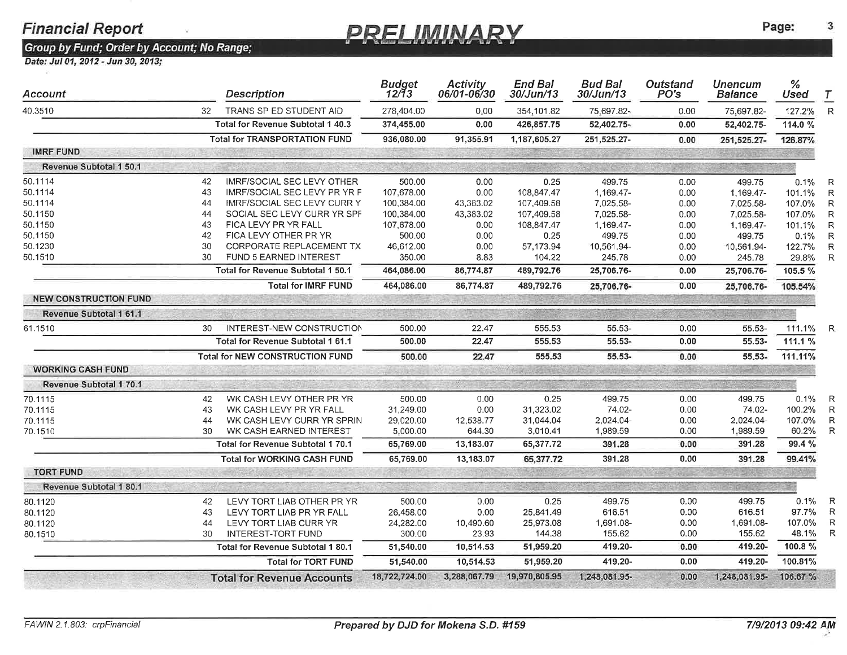### PRELIMINARY

Page:

3

| Account                      | <b>Description</b>                     | <b>Budget</b><br>12/13 | <b>Activity</b><br>06/01-06/30 | <b>End Bal</b><br>30/Jun/13 | <b>Bud Bal</b><br>30/Jun/13 | Outstand<br>PO's | <b>Unencum</b><br>Balance | %<br>Used         | T            |
|------------------------------|----------------------------------------|------------------------|--------------------------------|-----------------------------|-----------------------------|------------------|---------------------------|-------------------|--------------|
| 32<br>40.3510                | TRANS SP ED STUDENT AID                | 278,404.00             | 0.00                           | 354,101.82                  | 75.697.82-                  | 0.00             | 75,697.82-                | 127.2%            | $\mathsf{R}$ |
|                              | Total for Revenue Subtotal 1 40.3      | 374,455.00             | 0.00                           | 426,857.75                  | 52,402.75-                  | 0.00             | 52,402.75-                | 114.0 %           |              |
|                              | <b>Total for TRANSPORTATION FUND</b>   | 936.080.00             | 91,355.91                      | 1,187,605.27                | 251,525.27-                 | 0.00             | 251,525.27-               | 126.87%           |              |
| <b>IMRF FUND</b>             |                                        |                        |                                |                             |                             |                  |                           |                   |              |
| Revenue Subtotal 1 50.1      |                                        |                        |                                |                             |                             |                  |                           |                   |              |
| 50.1114<br>42                | <b>IMRF/SOCIAL SEC LEVY OTHER</b>      | 500.00                 | 0.00                           | 0.25                        | 499.75                      | 0.00             | 499.75                    | 0.1%              | R            |
| 43<br>50.1114                | IMRF/SOCIAL SEC LEVY PR YR F           | 107,678.00             | 0.00                           | 108,847.47                  | 1,169.47-                   | 0.00             | 1,169.47-                 | 101.1%            | R            |
| 50.1114<br>44                | <b>IMRF/SOCIAL SEC LEVY CURR Y</b>     | 100,384.00             | 43,383.02                      | 107,409.58                  | 7,025.58-                   | 0.00             | 7,025.58-                 | 107.0%            | R            |
| 50.1150<br>44                | SOCIAL SEC LEVY CURR YR SPF            | 100,384.00             | 43,383.02                      | 107,409.58                  | 7,025.58-                   | 0.00             | 7,025.58-                 | 107.0%            | $\mathsf R$  |
| 50.1150<br>43                | FICA LEVY PR YR FALL                   | 107,678.00             | 0.00                           | 108,847.47                  | 1,169.47-                   | 0.00             | 1,169.47-                 | 101.1%            | R            |
| 50.1150<br>42                | FICA LEVY OTHER PR YR                  | 500.00                 | 0.00                           | 0.25                        | 499.75                      | 0.00             | 499.75                    | 0.1%              | R            |
| 50.1230<br>30                | CORPORATE REPLACEMENT TX               | 46,612.00              | 0.00                           | 57,173.94                   | 10,561.94-                  | 0.00             | 10,561.94-                | 122.7%            | $\mathsf{R}$ |
| 30<br>50.1510                | FUND 5 EARNED INTEREST                 | 350.00                 | 8.83                           | 104.22                      | 245.78                      | 0.00             | 245.78                    | 29.8%             | R            |
|                              | Total for Revenue Subtotal 1 50.1      | 464,086.00             | 86,774.87                      | 489,792.76                  | 25,706.76-                  | 0.00             | 25,706.76-                | 105.5 %           |              |
|                              | <b>Total for IMRF FUND</b>             | 464,086.00             | 86,774.87                      | 489,792.76                  | 25,706.76-                  | 0.00             | 25,706.76-                | 105.54%           |              |
| <b>NEW CONSTRUCTION FUND</b> |                                        |                        |                                |                             |                             |                  |                           |                   |              |
| Revenue Subtotal 1 61.1      |                                        |                        |                                |                             |                             |                  |                           |                   |              |
| 61.1510<br>30                | <b>INTEREST-NEW CONSTRUCTION</b>       | 500.00                 | 22.47                          | 555.53                      | 55.53-                      | 0.00             | 55.53-                    | 111.1%            | R            |
|                              | Total for Revenue Subtotal 1 61.1      | 500.00                 | 22.47                          | 555.53                      | $55.53 -$                   | 0.00             | 55.53-                    | 111.1 %           |              |
|                              | <b>Total for NEW CONSTRUCTION FUND</b> | 500.00                 | 22.47                          | 555.53                      | 55.53-                      | 0.00             | 55.53-                    | 111.11%           |              |
| <b>WORKING CASH FUND</b>     | ALL NO. L. COLE ON STIL                |                        |                                |                             |                             |                  |                           | الكارير بالأكلامي |              |
| Revenue Subtotal 170.1       |                                        |                        |                                |                             |                             |                  |                           |                   |              |
| 70.1115<br>42                | WK CASH LEVY OTHER PR YR               | 500.00                 | 0.00                           | 0.25                        | 499.75                      | 0.00             | 499.75                    | 0.1%              | R            |
| 43<br>70.1115                | WK CASH LEVY PR YR FALL                | 31,249.00              | 0.00                           | 31,323.02                   | 74.02-                      | 0.00             | 74.02-                    | 100.2%            | R            |
| 70.1115<br>44                | WK CASH LEVY CURR YR SPRIN             | 29,020.00              | 12,538.77                      | 31,044.04                   | 2,024.04-                   | 0.00             | 2,024.04-                 | 107.0%            | $\mathsf{R}$ |
| 30<br>70.1510                | WK CASH EARNED INTEREST                | 5,000.00               | 644.30                         | 3,010.41                    | 1,989.59                    | 0.00             | 1,989.59                  | 60.2%             | R            |
|                              | Total for Revenue Subtotal 1 70.1      | 65,769.00              | 13,183.07                      | 65,377.72                   | 391.28                      | 0.00             | 391.28                    | 99.4 %            |              |
|                              | <b>Total for WORKING CASH FUND</b>     | 65,769.00              | 13,183.07                      | 65,377.72                   | 391.28                      | 0.00             | 391.28                    | 99.41%            |              |
| <b>TORT FUND</b>             |                                        |                        |                                |                             |                             |                  |                           |                   |              |
| Revenue Subtotal 1 80.1      |                                        |                        |                                |                             |                             |                  |                           |                   |              |
| 80.1120<br>42                | LEVY TORT LIAB OTHER PR YR             | 500.00                 | 0.00                           | 0.25                        | 499.75                      | 0.00             | 499.75                    | 0.1%              | R            |
| 80.1120<br>43                | LEVY TORT LIAB PR YR FALL              | 26,458.00              | 0.00                           | 25,841.49                   | 616.51                      | 0.00             | 616.51                    | 97.7%             | R            |
| 80.1120<br>44                | LEVY TORT LIAB CURR YR                 | 24,282.00              | 10,490.60                      | 25,973.08                   | 1,691.08-                   | 0.00             | 1,691.08-                 | 107.0%            | R            |
| 30<br>80.1510                | INTEREST-TORT FUND                     | 300.00                 | 23.93                          | 144.38                      | 155.62                      | 0.00             | 155.62                    | 48.1%             | R            |
|                              |                                        |                        |                                |                             |                             | 0.00             |                           | 100.8 %           |              |
|                              | Total for Revenue Subtotal 1 80.1      | 51,540.00              | 10,514.53                      | 51,959.20                   | 419.20-                     |                  | 419.20-                   |                   |              |
|                              | <b>Total for TORT FUND</b>             | 51,540.00              | 10,514.53                      | 51,959.20                   | 419.20-                     | 0.00             | 419.20-                   | 100.81%           |              |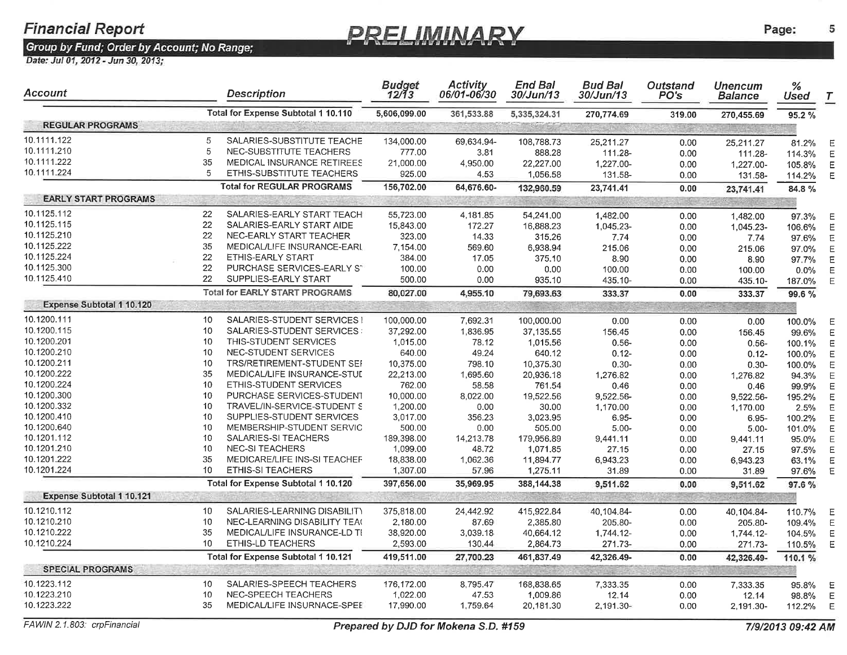### **PRELIMINARY**

Group by Fund; Order by Account; No Range;<br>Date: Jul 01, 2012 - Jun 30, 2013;

| Account                          |    | <b>Description</b>                                            | <b>Budget</b><br>12/13 | <b>Activity</b><br>06/01-06/30 | <b>End Bal</b><br>30/Jun/13 | <b>Bud Bal</b><br><i>30/Jun/13</i> | <b>Outstand</b><br>PO's | <b>Unencum</b><br>Balance | $\frac{9}{6}$<br><b>Used</b> | $\tau$ |
|----------------------------------|----|---------------------------------------------------------------|------------------------|--------------------------------|-----------------------------|------------------------------------|-------------------------|---------------------------|------------------------------|--------|
|                                  |    | Total for Expense Subtotal 1 10.110                           | 5,606,099.00           | 361,533.88                     | 5,335,324.31                | 270,774.69                         | 319.00                  | 270,455.69                | 95.2 %                       |        |
| <b>REGULAR PROGRAMS</b>          |    |                                                               |                        |                                |                             |                                    |                         |                           |                              |        |
| 10.1111.122                      | 5  | SALARIES-SUBSTITUTE TEACHE                                    | 134,000.00             | 69,634.94-                     | 108,788.73                  | 25,211.27                          | 0.00                    | 25,211.27                 | 81.2%                        | Е      |
| 10.1111.210                      | 5  | NEC-SUBSTITUTE TEACHERS                                       | 777.00                 | 3.81                           | 888.28                      | 111.28-                            | 0.00                    | 111.28-                   | 114.3%                       |        |
| 10.1111.222                      | 35 | MEDICAL INSURANCE RETIREES                                    | 21,000.00              | 4,950.00                       | 22,227.00                   | 1,227.00-                          | 0.00                    | 1,227.00-                 | 105.8%                       | Ε      |
| 10.1111.224                      | 5  | ETHIS-SUBSTITUTE TEACHERS                                     | 925.00                 | 4.53                           | 1,056.58                    | 131.58-                            | 0.00                    | 131.58-                   | 114.2%                       | Е      |
|                                  |    | <b>Total for REGULAR PROGRAMS</b>                             | 156,702.00             | 64,676.60-                     | 132,960.59                  | 23,741.41                          | 0.00                    | 23,741.41                 | 84.8%                        |        |
| <b>EARLY START PROGRAMS</b>      |    |                                                               |                        |                                | <b>Prince</b>               | $1000 - 100$                       |                         |                           |                              |        |
| 10.1125.112                      | 22 | SALARIES-EARLY START TEACH                                    | 55,723.00              |                                |                             |                                    |                         |                           |                              |        |
| 10.1125.115                      | 22 | SALARIES-EARLY START AIDE                                     | 15,843.00              | 4,181.85                       | 54,241.00                   | 1,482.00                           | 0.00                    | 1,482.00                  | 97.3%                        | Е      |
| 10.1125.210                      | 22 | NEC-EARLY START TEACHER                                       |                        | 172.27                         | 16,888.23                   | 1,045.23-                          | 0.00                    | 1.045.23-                 | 106.6%                       | Е      |
| 10.1125.222                      | 35 |                                                               | 323.00                 | 14.33                          | 315.26                      | 7.74                               | 0.00                    | 7.74                      | 97.6%                        | E      |
| 10.1125.224                      | 22 | MEDICAL/LIFE INSURANCE-EARL<br><b>ETHIS-EARLY START</b>       | 7,154.00               | 569.60                         | 6,938.94                    | 215.06                             | 0.00                    | 215.06                    | 97.0%                        | Е      |
| 10.1125.300                      | 22 |                                                               | 384.00                 | 17.05                          | 375.10                      | 8.90                               | 0.00                    | 8.90                      | 97.7%                        | Ε      |
| 10.1125.410                      | 22 | PURCHASE SERVICES-EARLY ST                                    | 100.00                 | 0.00                           | 0.00                        | 100.00                             | 0.00                    | 100.00                    | $0.0\%$                      | Е      |
|                                  |    | SUPPLIES-EARLY START<br><b>Total for EARLY START PROGRAMS</b> | 500.00                 | 0.00                           | 935.10                      | 435.10-                            | 0.00                    | 435.10-                   | 187.0%                       | E      |
| <b>Expense Subtotal 1 10.120</b> |    |                                                               | 80,027.00              | 4,955.10                       | 79,693.63                   | 333.37                             | 0.00                    | 333.37                    | 99.6%                        |        |
|                                  |    |                                                               |                        |                                |                             |                                    |                         |                           |                              |        |
| 10.1200.111                      | 10 | SALARIES-STUDENT SERVICES I                                   | 100,000.00             | 7,692.31                       | 100,000.00                  | 0.00                               | 0.00                    | 0.00                      | 100.0%                       | Е      |
| 10.1200.115                      | 10 | SALARIES-STUDENT SERVICES:                                    | 37,292.00              | 1,836.95                       | 37,135.55                   | 156.45                             | 0.00                    | 156.45                    | 99.6%                        |        |
| 10.1200.201                      | 10 | THIS-STUDENT SERVICES                                         | 1,015.00               | 78.12                          | 1,015.56                    | $0.56 -$                           | 0.00                    | $0.56 -$                  | 100.1%                       | Е      |
| 10.1200.210                      | 10 | NEC-STUDENT SERVICES                                          | 640.00                 | 49.24                          | 640.12                      | $0.12 -$                           | 0.00                    | $0.12 -$                  | 100.0%                       | F      |
| 10.1200.211                      | 10 | TRS/RETIREMENT-STUDENT SEF                                    | 10,375.00              | 798.10                         | 10,375.30                   | $0.30 -$                           | 0.00                    | $0.30 -$                  | 100.0%                       | E      |
| 10.1200.222                      | 35 | MEDICAL/LIFE INSURANCE-STUI                                   | 22,213.00              | 1,695.60                       | 20,936.18                   | 1,276.82                           | 0.00                    | 1,276.82                  | 94.3%                        |        |
| 10.1200.224                      | 10 | ETHIS-STUDENT SERVICES                                        | 762.00                 | 58.58                          | 761.54                      | 0.46                               | 0.00                    | 0.46                      | 99.9%                        | E      |
| 10.1200.300                      | 10 | PURCHASE SERVICES-STUDENT                                     | 10,000.00              | 8,022.00                       | 19,522.56                   | 9,522.56-                          | 0.00                    | 9,522.56-                 | 195.2%                       |        |
| 10.1200.332                      | 10 | TRAVEL/IN-SERVICE-STUDENT S                                   | 1,200.00               | 0.00                           | 30.00                       | 1,170.00                           | 0.00                    | 1,170.00                  | 2.5%                         | E      |
| 10.1200.410                      | 10 | SUPPLIES-STUDENT SERVICES                                     | 3,017.00               | 356.23                         | 3,023.95                    | 6.95-                              | 0.00                    | $6.95 -$                  | 100.2%                       | F      |
| 10.1200.640                      | 10 | MEMBERSHIP-STUDENT SERVIC                                     | 500.00                 | 0.00                           | 505.00                      | $5.00 -$                           | 0.00                    | $5.00 -$                  | 101.0%                       | F      |
| 10.1201.112                      | 10 | SALARIES-SI TEACHERS                                          | 189,398.00             | 14,213.78                      | 179,956.89                  | 9,441.11                           | 0.00                    | 9,441.11                  | 95.0%                        | E      |
| 10.1201.210                      | 10 | <b>NEC-SI TEACHERS</b>                                        | 1,099.00               | 48.72                          | 1,071.85                    | 27.15                              | 0.00                    | 27.15                     | 97.5%                        | E      |
| 10.1201.222                      | 35 | MEDICARE/LIFE INS-SI TEACHEF                                  | 18,838.00              | 1,062.36                       | 11,894.77                   | 6,943.23                           | 0.00                    | 6,943.23                  | 63.1%                        | E      |
| 10.1201.224                      | 10 | <b>ETHIS-SI TEACHERS</b>                                      | 1,307.00               | 57.96                          | 1,275.11                    | 31.89                              | 0.00                    | 31.89                     | 97.6%                        | Ε      |
|                                  |    | Total for Expense Subtotal 1 10.120                           | 397,656.00             | 35,969.95                      | 388,144.38                  | 9,511.62                           | 0.00                    | 9,511.62                  | 97.6%                        |        |
| <b>Expense Subtotal 1 10.121</b> |    |                                                               |                        |                                |                             |                                    |                         |                           |                              |        |
| 10.1210.112                      | 10 | SALARIES-LEARNING DISABILITY                                  | 375,818.00             | 24,442.92                      | 415,922.84                  | 40,104.84-                         | 0.00                    | 40,104.84-                | 110.7%                       | Е      |
| 10.1210.210                      | 10 | NEC-LEARNING DISABILITY TEAC                                  | 2,180.00               | 87.69                          | 2,385.80                    | 205.80-                            | 0.00                    | 205.80-                   | 109.4%                       | Ε      |
| 10.1210.222                      | 35 | MEDICAL/LIFE INSURANCE-LD TI                                  | 38,920.00              | 3,039.18                       | 40,664.12                   | 1,744.12-                          | 0.00                    | 1,744.12-                 | 104.5%                       | Е      |
| 10.1210.224                      | 10 | <b>ETHIS-LD TEACHERS</b>                                      | 2,593.00               | 130.44                         | 2,864.73                    | 271.73-                            | 0.00                    | 271.73-                   | 110.5%                       | Ε      |
|                                  |    | Total for Expense Subtotal 1 10.121                           | 419,511.00             | 27,700.23                      | 461,837.49                  | 42,326.49-                         | 0.00                    | 42,326.49-                | 110.1%                       |        |
| <b>SPECIAL PROGRAMS</b>          |    |                                                               |                        |                                |                             |                                    |                         |                           |                              |        |
| 10.1223.112                      | 10 | SALARIES-SPEECH TEACHERS                                      | 176,172.00             | 8,795.47                       | 168,838.65                  | 7,333.35                           | 0.00                    | 7,333.35                  | 95.8%                        |        |
| 10.1223.210                      | 10 | NEC-SPEECH TEACHERS                                           | 1,022.00               | 47.53                          | 1,009.86                    | 12.14                              | 0.00                    | 12.14                     | 98.8%                        | Ε<br>E |
| 10.1223.222                      | 35 | MEDICAL/LIFE INSURNACE-SPEE                                   | 17,990.00              | 1,759.64                       | 20,181.30                   | 2,191.30-                          | 0.00                    | 2,191.30-                 | 112.2%                       | E      |
|                                  |    |                                                               |                        |                                |                             |                                    |                         |                           |                              |        |

5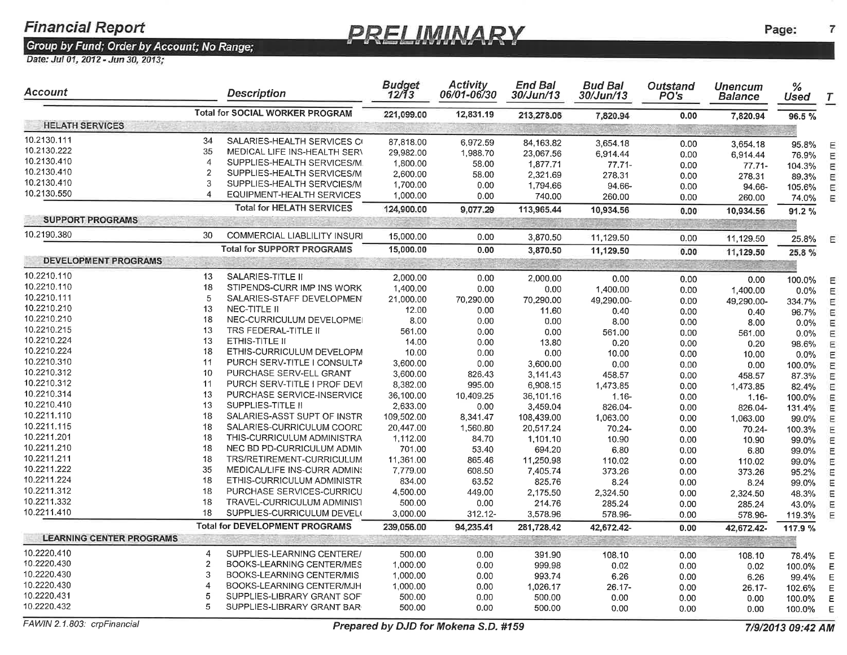### <u>PRELIMINARY</u>

Group by Fund; Order by Account; No Range;<br>Date: Jul 01, 2012 - Jun 30, 2013;

| Account                         |                  | <b>Description</b>                     | Budget<br>12/13 | <b>Activity</b><br>06/01-06/30 | <b>End Bal</b><br><i>30/Jun/13</i> | <b>Bud Bal</b><br>30/Jun/13 | Outstand<br>PO's | <b>Unencum</b><br><b>Balance</b> | $\%$<br>Used | $\tau$ |
|---------------------------------|------------------|----------------------------------------|-----------------|--------------------------------|------------------------------------|-----------------------------|------------------|----------------------------------|--------------|--------|
|                                 |                  | <b>Total for SOCIAL WORKER PROGRAM</b> | 221,099.00      | 12,831.19                      | 213,278.06                         | 7,820.94                    | 0.00             | 7,820.94                         | 96.5%        |        |
| <b>HELATH SERVICES</b>          |                  |                                        |                 |                                |                                    |                             |                  |                                  |              |        |
| 10.2130.111                     | 34               | SALARIES-HEALTH SERVICES CO            | 87,818.00       | 6,972.59                       | 84,163.82                          | 3,654.18                    | 0.00             | 3,654.18                         | 95.8%        |        |
| 10.2130.222                     | 35               | MEDICAL LIFE INS-HEALTH SERV           | 29,982.00       | 1,988.70                       | 23,067.56                          | 6,914.44                    | 0.00             | 6,914.44                         | 76.9%        |        |
| 10.2130.410                     | $\overline{A}$   | SUPPLIES-HEALTH SERVICES/M             | 1,800.00        | 58.00                          | 1,877.71                           | $77.71 -$                   | 0.00             | $77.71 -$                        | 104.3%       |        |
| 10.2130.410                     | $\overline{2}$   | SUPPLIES-HEALTH SERVICES/M             | 2,600.00        | 58.00                          | 2,321.69                           | 278.31                      | 0.00             | 278.31                           | 89.3%        | Ε      |
| 10.2130.410                     | 3                | SUPPLIES-HEALTH SERVCIES/M             | 1,700.00        | 0.00                           | 1,794.66                           | 94.66-                      | 0.00             | 94.66-                           | 105.6%       |        |
| 10.2130.550                     | $\overline{4}$   | EQUIPMENT-HEALTH SERVICES              | 1,000.00        | 0.00                           | 740.00                             | 260.00                      | 0.00             | 260.00                           | 74.0%        | Ε      |
|                                 |                  | <b>Total for HELATH SERVICES</b>       | 124,900.00      | 9,077.29                       | 113,965.44                         | 10,934.56                   | 0.00             | 10,934.56                        | 91.2%        |        |
| <b>SUPPORT PROGRAMS</b>         |                  |                                        |                 |                                |                                    |                             |                  |                                  |              |        |
| 10.2190.380                     | 30               | COMMERCIAL LIABLILITY INSURI           | 15,000.00       | 0.00                           | 3,870.50                           | 11,129.50                   | 0.00             | 11,129.50                        | 25.8%        | Ε      |
|                                 |                  | <b>Total for SUPPORT PROGRAMS</b>      | 15,000.00       | 0.00                           | 3,870.50                           | 11,129.50                   | 0.00             | 11,129.50                        | 25.8 %       |        |
| <b>DEVELOPMENT PROGRAMS</b>     |                  |                                        |                 |                                |                                    |                             |                  |                                  |              |        |
| 10.2210.110                     | 13               | SALARIES-TITLE II                      | 2,000.00        | 0.00                           |                                    |                             |                  |                                  |              |        |
| 10.2210.110                     | 18               | STIPENDS-CURR IMP INS WORK             | 1,400.00        |                                | 2,000.00                           | 0.00                        | 0.00             | 0.00                             | 100.0%       |        |
| 10.2210.111                     | 5                | SALARIES-STAFF DEVELOPMEN              |                 | 0.00                           | 0.00                               | 1,400.00                    | 0.00             | 1,400.00                         | $0.0\%$      |        |
| 10.2210.210                     | 13               | NEC-TITLE II                           | 21,000.00       | 70,290.00                      | 70,290.00                          | 49,290.00-                  | 0.00             | 49,290.00-                       | 334.7%       |        |
| 10.2210.210                     | 18               | NEC-CURRICULUM DEVELOPMEI              | 12.00           | 0.00                           | 11.60                              | 0.40                        | 0.00             | 0.40                             | 96.7%        |        |
| 10.2210.215                     | 13               | TRS FEDERAL-TITLE II                   | 8.00<br>561.00  | 0.00                           | 0.00                               | 8.00                        | 0.00             | 8.00                             | $0.0\%$      |        |
| 10.2210.224                     | 13               | ETHIS-TITLE II                         | 14.00           | 0.00                           | 0.00                               | 561.00                      | 0.00             | 561.00                           | 0.0%         |        |
| 10.2210.224                     | 18               | ETHIS-CURRICULUM DEVELOPM              | 10.00           | 0.00                           | 13.80                              | 0.20                        | 0.00             | 0.20                             | 98.6%        |        |
| 10.2210.310                     | 11               | PURCH SERV-TITLE I CONSULTA            | 3,600.00        | 0.00                           | 0.00                               | 10.00                       | 0.00             | 10.00                            | 0.0%         |        |
| 10.2210.312                     | 10               | PURCHASE SERV-ELL GRANT                | 3,600.00        | 0.00                           | 3,600.00                           | 0.00                        | 0.00             | 0.00                             | 100.0%       |        |
| 10.2210.312                     | 11               | PURCH SERV-TITLE I PROF DEVI           | 8,382.00        | 826.43<br>995.00               | 3,141.43                           | 458.57                      | 0.00             | 458.57                           | 87.3%        |        |
| 10.2210.314                     | 13               | PURCHASE SERVICE-INSERVICE             | 36,100.00       |                                | 6,908.15                           | 1,473.85                    | 0.00             | 1,473.85                         | 82.4%        |        |
| 10.2210.410                     | 13               | SUPPLIES-TITLE II                      | 2,633.00        | 10,409.25                      | 36,101.16                          | $1.16 -$                    | 0.00             | $1.16 -$                         | 100.0%       |        |
| 10.2211.110                     | 18               | SALARIES-ASST SUPT OF INSTR            |                 | 0.00                           | 3,459.04                           | 826.04-                     | 0.00             | 826.04-                          | 131.4%       |        |
| 10.2211.115                     | 18               | SALARIES-CURRICULUM COORD              | 109,502.00      | 8,341.47                       | 108,439.00                         | 1,063.00                    | 0.00             | 1,063.00                         | 99.0%        |        |
| 10.2211.201                     | 18               |                                        | 20,447,00       | 1,560.80                       | 20,517.24                          | 70.24-                      | 0.00             | 70.24-                           | 100.3%       |        |
| 10.2211.210                     | 18               | THIS-CURRICULUM ADMINISTRA             | 1,112.00        | 84.70                          | 1,101.10                           | 10.90                       | 0.00             | 10.90                            | 99.0%        |        |
| 10.2211.211                     | 18               | NEC BD PD-CURRICULUM ADMIN             | 701.00          | 53.40                          | 694.20                             | 6.80                        | 0.00             | 6.80                             | 99.0%        |        |
| 10.2211.222                     | 35               | TRS/RETIREMENT-CURRICULUM              | 11,361.00       | 865.46                         | 11,250.98                          | 110.02                      | 0.00             | 110.02                           | 99.0%        |        |
| 10.2211.224                     | 18               | MEDICAL/LIFE INS-CURR ADMINS           | 7,779.00        | 608.50                         | 7,405.74                           | 373.26                      | 0.00             | 373.26                           | 95.2%        |        |
| 10.2211.312                     |                  | ETHIS-CURRICULUM ADMINISTR             | 834.00          | 63.52                          | 825.76                             | 8.24                        | 0.00             | 8.24                             | 99.0%        |        |
|                                 | 18               | PURCHASE SERVICES-CURRICU              | 4,500.00        | 449.00                         | 2,175.50                           | 2,324.50                    | 0.00             | 2,324.50                         | 48.3%        |        |
| 10.2211.332<br>10.2211.410      | 18               | TRAVEL-CURRICULUM ADMINIST             | 500.00          | 0.00                           | 214.76                             | 285.24                      | 0.00             | 285.24                           | 43.0%        |        |
|                                 | 18               | SUPPLIES-CURRICULUM DEVEL              | 3,000.00        | 312.12-                        | 3,578.96                           | 578.96-                     | 0.00             | 578.96-                          | 119.3%       | Ε      |
|                                 |                  | <b>Total for DEVELOPMENT PROGRAMS</b>  | 239,056.00      | 94,235.41                      | 281,728.42                         | 42,672.42-                  | 0.00             | 42,672.42-                       | 117.9 %      |        |
| <b>LEARNING CENTER PROGRAMS</b> |                  |                                        |                 |                                |                                    |                             | 30               |                                  |              |        |
| 10.2220,410                     | 4                | SUPPLIES-LEARNING CENTERE/             | 500.00          | 0.00                           | 391.90                             | 108.10                      | 0.00             | 108.10                           | 78.4%        | E      |
| 10.2220.430                     | $\overline{2}$   | BOOKS-LEARNING CENTER/MES              | 1,000.00        | 0.00                           | 999.98                             | 0.02                        | 0.00             | 0.02                             | 100.0%       | Е      |
| 10.2220.430                     | 3                | BOOKS-LEARNING CENTER/MIS              | 1,000.00        | 0.00                           | 993.74                             | 6.26                        | 0.00             | 6.26                             | 99.4%        | Е      |
| 10.2220.430                     | $\boldsymbol{4}$ | BOOKS-LEARNING CENTER/MJH              | 1,000.00        | 0.00                           | 1,026.17                           | 26.17-                      | 0.00             | 26.17-                           | 102.6%       | E      |
| 10.2220.431                     | 5                | SUPPLIES-LIBRARY GRANT SOF             | 500.00          | 0.00                           | 500.00                             | 0.00                        | 0.00             | 0.00                             | 100.0%       | Е      |
| 10.2220.432                     | 5                | SUPPLIES-LIBRARY GRANT BAR             | 500.00          | 0.00                           | 500.00                             | 0.00                        | 0.00             | 0.00                             | 100.0%       | E      |

FAWIN 2.1.803: crpFinancial

 $\overline{7}$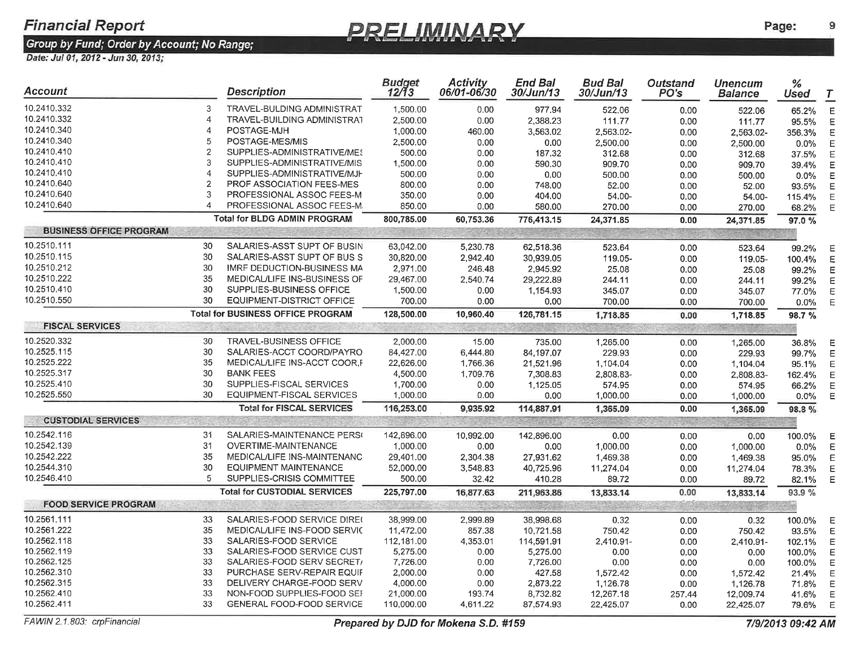### **PRELIMINARY**

9

| Account                        |                | <b>Description</b>                       | <b>Budget</b><br>12/13 | <b>Activity</b><br>06/01-06/30 | <b>End Bal</b><br>30/Jun/13 | <b>Bud Bal</b><br>30/Jun/13 | <b>Outstand</b><br>PO's | <b>Unencum</b><br><b>Balance</b> | %<br><b>Used</b> | $\tau$ |
|--------------------------------|----------------|------------------------------------------|------------------------|--------------------------------|-----------------------------|-----------------------------|-------------------------|----------------------------------|------------------|--------|
| 10.2410.332                    | 3              | TRAVEL-BULDING ADMINISTRAT               | 1,500.00               | 0.00                           | 977.94                      | 522.06                      | 0.00                    | 522.06                           | 65.2%            |        |
| 10.2410.332                    | 4              | TRAVEL-BUILDING ADMINISTRAT              | 2,500.00               | 0.00                           | 2,388.23                    | 111.77                      | 0.00                    | 111.77                           | 95.5%            |        |
| 10.2410.340                    | 4              | POSTAGE-MJH                              | 1,000.00               | 460.00                         | 3,563.02                    | 2,563.02-                   | 0.00                    | 2,563.02-                        | 356.3%           |        |
| 10.2410.340                    | 5              | POSTAGE-MES/MIS                          | 2,500.00               | 0.00                           | 0.00                        | 2,500.00                    | 0.00                    | 2,500.00                         | 0.0%             |        |
| 10.2410.410                    | $\overline{2}$ | SUPPLIES-ADMINISTRATIVE/MES              | 500.00                 | 0.00                           | 187.32                      | 312.68                      | 0.00                    | 312.68                           | 37.5%            |        |
| 10.2410.410                    | 3              | SUPPLIES-ADMINISTRATIVE/MIS              | 1,500.00               | 0.00                           | 590.30                      | 909.70                      | 0.00                    | 909.70                           | 39.4%            |        |
| 10.2410.410                    | 4              | SUPPLIES-ADMINISTRATIVE/MJH              | 500.00                 | 0.00                           | 0.00                        | 500.00                      | 0.00                    | 500.00                           | 0.0%             |        |
| 10.2410.640                    | 2              | <b>PROF ASSOCIATION FEES-MES</b>         | 800.00                 | 0.00                           | 748.00                      | 52.00                       | 0.00                    | 52.00                            | 93.5%            |        |
| 10.2410.640                    | 3              | PROFESSIONAL ASSOC FEES-M                | 350.00                 | 0.00                           | 404.00                      | 54.00-                      | 0.00                    | 54.00-                           | 115.4%           |        |
| 10.2410.640                    | 4              | PROFESSIONAL ASSOC FEES-M                | 850.00                 | 0.00                           | 580.00                      | 270.00                      | 0.00                    | 270.00                           | 68.2%            | E      |
|                                |                | <b>Total for BLDG ADMIN PROGRAM</b>      | 800,785.00             | 60,753.36                      | 776,413.15                  | 24,371.85                   | 0.00                    | 24,371.85                        | 97.0%            |        |
| <b>BUSINESS OFFICE PROGRAM</b> |                |                                          |                        |                                |                             |                             |                         |                                  |                  |        |
| 10.2510.111                    | 30             | SALARIES-ASST SUPT OF BUSIN              | 63,042.00              | 5,230.78                       | 62,518.36                   | 523.64                      | 0.00                    | 523.64                           | 99.2%            |        |
| 10.2510.115                    | 30             | SALARIES-ASST SUPT OF BUS S              | 30,820.00              | 2,942.40                       | 30,939.05                   | 119.05-                     | 0.00                    | 119.05-                          | 100.4%           |        |
| 10.2510.212                    | 30             | IMRF DEDUCTION-BUSINESS MA               | 2,971.00               | 246.48                         | 2,945.92                    | 25.08                       | 0.00                    | 25.08                            | 99.2%            |        |
| 10.2510.222                    | 35             | MEDICAL/LIFE INS-BUSINESS OF             | 29,467.00              | 2,540.74                       | 29,222.89                   | 244.11                      | 0.00                    | 244.11                           | 99.2%            |        |
| 10.2510.410                    | 30             | SUPPLIES-BUSINESS OFFICE                 | 1,500.00               | 0.00                           | 1,154.93                    | 345.07                      | 0.00                    | 345.07                           | 77.0%            |        |
| 10.2510.550                    | 30             | EQUIPMENT-DISTRICT OFFICE                | 700.00                 | 0.00                           | 0.00                        | 700.00                      | 0.00                    | 700.00                           | 0.0%             | E      |
|                                |                | <b>Total for BUSINESS OFFICE PROGRAM</b> | 128,500.00             | 10,960.40                      | 126,781.15                  | 1,718.85                    | 0.00                    | 1,718.85                         | 98.7%            |        |
| <b>FISCAL SERVICES</b>         | 38.            | No. 30 May 2011 as the                   |                        |                                |                             |                             |                         |                                  |                  |        |
| 10.2520.332                    | 30             | <b>TRAVEL-BUSINESS OFFICE</b>            | 2,000.00               | 15.00                          | 735.00                      | 1,265.00                    | 0.00                    | 1,265.00                         | 36.8%            |        |
| 10.2525.115                    | 30             | SALARIES-ACCT COORD/PAYRO                | 84,427.00              | 6,444.80                       | 84,197.07                   | 229.93                      | 0.00                    | 229.93                           | 99.7%            |        |
| 10.2525.222                    | 35             | MEDICAL/LIFE INS-ACCT COOR, F            | 22,626.00              | 1,766.36                       | 21,521.96                   | 1,104.04                    | 0.00                    | 1,104.04                         | 95.1%            |        |
| 10.2525.317                    | 30             | <b>BANK FEES</b>                         | 4,500.00               | 1,709.76                       | 7,308.83                    | 2,808.83-                   | 0.00                    | 2,808.83-                        | 162.4%           | Е      |
| 10.2525.410                    | 30             | SUPPLIES-FISCAL SERVICES                 | 1,700.00               | 0.00                           | 1,125.05                    | 574.95                      | 0.00                    | 574.95                           | 66.2%            |        |
| 10.2525.550                    | 30             | EQUIPMENT-FISCAL SERVICES                | 1,000.00               | 0.00                           | 0.00                        | 1,000.00                    | 0.00                    | 1,000.00                         | 0.0%             | Ε      |
|                                |                | <b>Total for FISCAL SERVICES</b>         | 116,253.00             | 9,935.92                       | 114,887.91                  | 1,365.09                    | 0.00                    | 1,365.09                         | 98.8%            |        |
| <b>CUSTODIAL SERVICES</b>      |                |                                          |                        |                                |                             |                             |                         |                                  |                  |        |
| 10.2542.116                    | 31             | SALARIES-MAINTENANCE PERS                | 142,896.00             | 10,992.00                      | 142,896.00                  | 0.00                        | 0.00                    | 0.00                             | 100.0%           | E      |
| 10.2542.139                    | 31             | OVERTIME-MAINTENANCE                     | 1,000.00               | 0.00                           | 0.00                        | 1,000.00                    | 0.00                    | 1,000.00                         | $0.0\%$          |        |
| 10.2542.222                    | 35             | MEDICAL/LIFE INS-MAINTENANC              | 29,401.00              | 2,304.38                       | 27,931.62                   | 1,469.38                    | 0.00                    | 1,469.38                         | 95.0%            |        |
| 10.2544.310                    | 30             | EQUIPMENT MAINTENANCE                    | 52,000.00              | 3,548.83                       | 40,725.96                   | 11,274.04                   | 0.00                    | 11,274.04                        | 78.3%            |        |
| 10.2546.410                    | 5              | SUPPLIES-CRISIS COMMITTEE                | 500.00                 | 32.42                          | 410.28                      | 89.72                       | 0.00                    | 89.72                            | 82.1%            | F      |
|                                |                | <b>Total for CUSTODIAL SERVICES</b>      | 225,797.00             | 16,877.63                      | 211,963.86                  | 13,833.14                   | 0.00                    | 13,833.14                        | 93.9%            |        |
| <b>FOOD SERVICE PROGRAM</b>    |                |                                          |                        |                                |                             |                             |                         |                                  |                  |        |
| 10.2561.111                    | 33             | SALARIES-FOOD SERVICE DIREO              | 38,999.00              | 2,999.89                       | 38,998.68                   | 0.32                        | 0.00                    | 0.32                             | 100.0%           | E      |
| 10.2561.222                    | 35             | MEDICAL/LIFE INS-FOOD SERVIC             | 11,472.00              | 857.38                         | 10,721.58                   | 750.42                      | 0.00                    | 750.42                           | 93.5%            | E      |
| 10.2562.118                    | 33             | SALARIES-FOOD SERVICE                    | 112,181.00             | 4,353.01                       | 114,591.91                  | 2,410.91-                   | 0.00                    | 2.410.91-                        | 102.1%           | Е      |
| 10.2562.119                    | 33             | SALARIES-FOOD SERVICE CUST               | 5,275.00               | 0.00                           | 5,275.00                    | 0.00                        | 0.00                    | 0.00                             | 100.0%           |        |
| 10.2562.125                    | 33             | SALARIES-FOOD SERV SECRET/               | 7,726.00               | 0.00                           | 7,726.00                    | 0.00                        | 0.00                    | 0.00                             | 100.0%           |        |
| 10.2562.310                    | 33             | PURCHASE SERV-REPAIR EQUIF               | 2,000.00               | 0.00                           | 427.58                      | 1,572.42                    | 0.00                    | 1,572.42                         | 21.4%            |        |
| 10.2562.315                    | 33             | DELIVERY CHARGE-FOOD SERV                | 4,000.00               | 0.00                           | 2,873.22                    | 1,126.78                    | 0.00                    | 1,126.78                         | 71.8%            |        |
| 10.2562.410                    | 33             | NON-FOOD SUPPLIES-FOOD SEI               | 21,000.00              | 193.74                         | 8,732.82                    | 12,267.18                   | 257.44                  | 12,009.74                        | 41.6%            | E      |
| 10.2562.411                    | 33             | GENERAL FOOD-FOOD SERVICE                | 110,000.00             | 4,611.22                       | 87,574.93                   | 22,425.07                   | 0.00                    | 22,425.07                        | 79.6%            | Ε      |
|                                |                |                                          |                        |                                |                             |                             |                         |                                  |                  |        |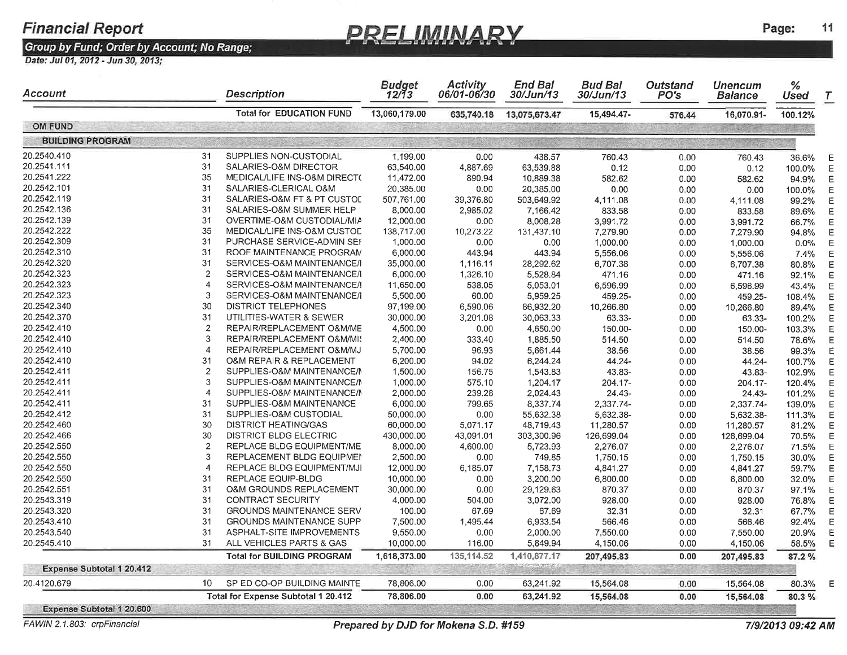### PRELIMINARY

Page:

11

#### Group by Fund; Order by Account; No Range;

Date: Jul 01, 2012 - Jun 30, 2013;

| Account                          |                        | <b>Description</b>                  | Budget<br>12/13        | <b>Activity</b><br>06/01-06/30 | <b>End Bal</b><br>30/Jun/13 | <b>Bud Bal</b><br>30/Jun/13 | Outstand<br>PO's | <b>Unencum</b><br><b>Balance</b> | $\%$<br>Used | $\tau$ |
|----------------------------------|------------------------|-------------------------------------|------------------------|--------------------------------|-----------------------------|-----------------------------|------------------|----------------------------------|--------------|--------|
| <b>OM FUND</b>                   |                        | <b>Total for EDUCATION FUND</b>     | 13,060,179.00          | 635,740.18                     | 13,075,673.47               | 15,494.47-                  | 576.44           | 16,070.91-                       | 100.12%      |        |
| <b>BUILDING PROGRAM</b>          |                        |                                     |                        |                                |                             |                             |                  |                                  |              |        |
| 20.2540.410                      | 31                     | SUPPLIES NON-CUSTODIAL              |                        |                                |                             |                             |                  |                                  |              |        |
| 20.2541.111                      | 31                     | SALARIES-O&M DIRECTOR               | 1,199.00<br>63,540.00  | 0.00<br>4.887.69               | 438.57<br>63,539.88         | 760.43<br>0.12              | 0.00             | 760.43                           | 36.6%        |        |
| 20.2541.222                      | 35                     | MEDICAL/LIFE INS-O&M DIRECT(        | 11,472.00              | 890.94                         | 10,889.38                   |                             | 0.00             | 0.12                             | 100.0%       |        |
| 20.2542.101                      | 31                     | SALARIES-CLERICAL O&M               | 20,385.00              |                                | 20,385.00                   | 582.62                      | 0.00             | 582.62                           | 94.9%        |        |
| 20.2542.119                      | 31                     | SALARIES-O&M FT & PT CUSTOL         | 507,761.00             | 0.00                           |                             | 0.00                        | 0.00             | 0.00                             | 100.0%       |        |
| 20.2542.136                      | 31                     | SALARIES-O&M SUMMER HELP            |                        | 39,376.80<br>2.985.02          | 503,649.92                  | 4,111.08                    | 0.00             | 4,111.08                         | 99.2%        |        |
| 20.2542.139                      | 31                     | OVERTIME-O&M CUSTODIAL/MIA          | 8,000.00               |                                | 7,166.42                    | 833.58                      | 0.00             | 833.58                           | 89.6%        |        |
| 20.2542.222                      | 35                     | MEDICAL/LIFE INS-O&M CUSTOD         | 12,000.00              | 0.00                           | 8,008.28                    | 3,991.72                    | 0.00             | 3,991.72                         | 66.7%        |        |
| 20.2542.309                      | 31                     | PURCHASE SERVICE-ADMIN SEF          | 138,717.00<br>1,000.00 | 10,273.22                      | 131,437.10                  | 7,279.90                    | 0.00             | 7,279.90                         | 94.8%        |        |
| 20.2542.310                      | 31                     | ROOF MAINTENANCE PROGRAM            |                        | 0.00                           | 0.00                        | 1,000.00                    | 0.00             | 1,000.00                         | 0.0%         |        |
| 20.2542.320                      | 31                     | SERVICES-O&M MAINTENANCE/I          | 6,000.00               | 443.94                         | 443.94                      | 5,556.06                    | 0.00             | 5,556.06                         | 7.4%         |        |
| 20.2542.323                      | $\mathbf{2}$           |                                     | 35,000.00              | 1,116.11                       | 28,292.62                   | 6,707.38                    | 0.00             | 6,707.38                         | 80.8%        |        |
| 20.2542.323                      | $\overline{4}$         | SERVICES-O&M MAINTENANCE/I          | 6,000.00               | 1,326.10                       | 5,528.84                    | 471.16                      | 0.00             | 471.16                           | 92.1%        |        |
| 20.2542.323                      | 3                      | SERVICES-O&M MAINTENANCE/I          | 11,650.00              | 538.05                         | 5,053.01                    | 6,596.99                    | 0.00             | 6,596.99                         | 43.4%        |        |
| 20.2542.340                      | 30                     | SERVICES-O&M MAINTENANCE/I          | 5,500.00               | 60.00                          | 5.959.25                    | 459.25-                     | 0.00             | 459.25-                          | 108.4%       |        |
|                                  |                        | <b>DISTRICT TELEPHONES</b>          | 97,199.00              | 6,590.06                       | 86,932.20                   | 10,266.80                   | 0.00             | 10,266.80                        | 89.4%        |        |
| 20.2542.370                      | 31                     | UTILITIES-WATER & SEWER             | 30,000.00              | 3,201.08                       | 30,063.33                   | 63.33-                      | 0.00             | 63.33-                           | 100.2%       |        |
| 20.2542.410                      | $\overline{c}$         | REPAIR/REPLACEMENT O&M/ME           | 4,500.00               | 0.00                           | 4,650.00                    | 150.00-                     | 0.00             | 150.00-                          | 103.3%       |        |
| 20.2542.410                      | 3                      | REPAIR/REPLACEMENT O&M/MIS          | 2,400.00               | 333.40                         | 1.885.50                    | 514.50                      | 0.00             | 514.50                           | 78.6%        |        |
| 20.2542.410                      | $\boldsymbol{4}$       | REPAIR/REPLACEMENT O&M/MJ           | 5,700.00               | 96.93                          | 5,661.44                    | 38.56                       | 0.00             | 38.56                            | 99.3%        |        |
| 20.2542.410                      | 31                     | O&M REPAIR & REPLACEMENT            | 6,200.00               | 94.02                          | 6.244.24                    | 44.24-                      | 0.00             | 44.24-                           | 100.7%       |        |
| 20.2542.411                      | $\overline{c}$         | SUPPLIES-O&M MAINTENANCE/N          | 1,500.00               | 156.75                         | 1,543.83                    | 43.83-                      | 0.00             | 43.83-                           | 102.9%       |        |
| 20.2542.411                      | 3                      | SUPPLIES-O&M MAINTENANCE/M          | 1,000.00               | 575.10                         | 1,204.17                    | 204.17-                     | 0.00             | 204.17-                          | 120.4%       |        |
| 20.2542.411                      | $\overline{4}$         | SUPPLIES-O&M MAINTENANCE/M          | 2,000.00               | 239.28                         | 2,024.43                    | 24.43-                      | 0.00             | 24.43-                           | 101.2%       |        |
| 20.2542.411                      | 31                     | SUPPLIES-O&M MAINTENANCE            | 6,000.00               | 799.65                         | 8,337.74                    | 2,337.74-                   | 0.00             | 2,337.74-                        | 139.0%       |        |
| 20.2542.412                      | 31                     | SUPPLIES-O&M CUSTODIAL              | 50,000.00              | 0.00                           | 55,632.38                   | 5,632.38-                   | 0.00             | 5,632.38-                        | 111.3%       |        |
| 20.2542.460                      | 30                     | <b>DISTRICT HEATING/GAS</b>         | 60,000.00              | 5,071.17                       | 48,719.43                   | 11,280.57                   | 0.00             | 11.280.57                        | 81.2%        |        |
| 20.2542.466                      | 30                     | DISTRICT BLDG ELECTRIC              | 430,000.00             | 43,091.01                      | 303,300.96                  | 126,699.04                  | 0.00             | 126,699.04                       | 70.5%        |        |
| 20.2542.550                      | $\overline{2}$         | REPLACE BLDG EQUIPMENT/ME           | 8,000.00               | 4,600.00                       | 5,723.93                    | 2,276.07                    | 0.00             | 2,276.07                         | 71.5%        |        |
| 20.2542.550                      | 3                      | REPLACEMENT BLDG EQUIPMEN           | 2,500.00               | 0.00                           | 749.85                      | 1,750.15                    | 0.00             | 1,750.15                         | 30.0%        |        |
| 20.2542.550                      | $\boldsymbol{\Lambda}$ | REPLACE BLDG EQUIPMENT/MJI          | 12,000.00              | 6,185.07                       | 7,158.73                    | 4,841.27                    | 0.00             | 4,841.27                         | 59.7%        |        |
| 20.2542.550                      | 31                     | REPLACE EQUIP-BLDG                  | 10,000.00              | 0.00                           | 3,200.00                    | 6,800.00                    | 0.00             | 6,800.00                         | 32.0%        |        |
| 20.2542.551                      | 31                     | O&M GROUNDS REPLACEMENT             | 30,000.00              | 0.00                           | 29,129.63                   | 870.37                      | 0.00             | 870.37                           | 97.1%        |        |
| 20.2543.319                      | 31                     | <b>CONTRACT SECURITY</b>            | 4,000.00               | 504.00                         | 3,072.00                    | 928.00                      | 0.00             | 928.00                           | 76.8%        |        |
| 20.2543.320                      | 31                     | <b>GROUNDS MAINTENANCE SERV</b>     | 100.00                 | 67.69                          | 67.69                       | 32,31                       | 0.00             | 32.31                            | 67.7%        |        |
| 20.2543.410                      | 31                     | <b>GROUNDS MAINTENANCE SUPP</b>     | 7,500.00               | 1,495.44                       | 6,933.54                    | 566.46                      | 0.00             | 566.46                           | 92.4%        |        |
| 20.2543.540                      | 31                     | ASPHALT-SITE IMPROVEMENTS           | 9,550.00               | 0.00                           | 2,000.00                    | 7,550.00                    | 0.00             | 7,550.00                         | 20.9%        |        |
| 20.2545.410                      | 31                     | ALL VEHICLES PARTS & GAS            | 10,000.00              | 116.00                         | 5,849.94                    | 4,150.06                    | 0.00             | 4,150.06                         | 58.5%        |        |
|                                  |                        | <b>Total for BUILDING PROGRAM</b>   | 1,618,373.00           | 135,114.52                     | 1,410,877.17                | 207,495.83                  | 0.00             | 207,495.83                       | 87.2%        |        |
| <b>Expense Subtotal 1 20.412</b> |                        |                                     |                        |                                |                             |                             |                  |                                  |              |        |
| 20.4120.679                      | 10                     | SP ED CO-OP BUILDING MAINTE         | 78,806.00              | 0.00                           | 63,241.92                   | 15,564.08                   | 0.00             | 15,564.08                        | 80.3%        | Е      |
|                                  |                        | Total for Expense Subtotal 1 20.412 | 78,806.00              | 0.00                           | 63,241.92                   | 15,564.08                   | 0.00             | 15,564.08                        | 80.3%        |        |
| Expense Subtotal 1 20.600        |                        |                                     |                        |                                |                             |                             |                  |                                  |              |        |

FAWIN 2.1.803: crpFinancial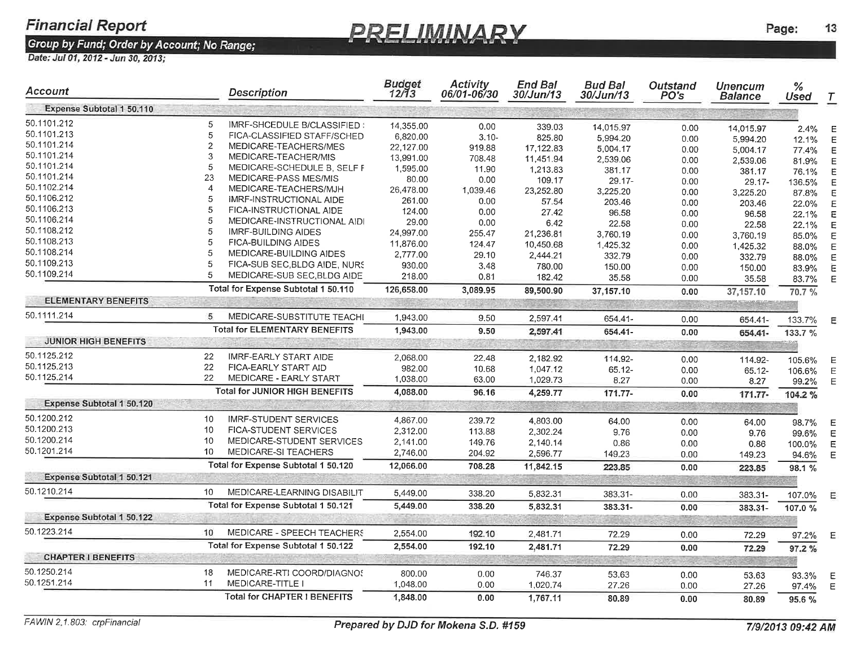### **PRELIMINARY**

| Account                     |                | <b>Description</b>                    | <b>Budget</b><br>12/13 | <b>Activity</b><br>06/01-06/30 | <b>End Bal</b><br><i>30/Jun/13</i> | <b>Bud Bal</b><br><i>30/Jun/13</i> | Outstand<br>PO's | Unencum<br>Balance | %<br><b>Used</b> | $\tau$ |
|-----------------------------|----------------|---------------------------------------|------------------------|--------------------------------|------------------------------------|------------------------------------|------------------|--------------------|------------------|--------|
| Expense Subtotal 1 50.110   |                |                                       |                        |                                |                                    |                                    |                  |                    |                  |        |
| 50.1101.212                 | 5              | IMRF-SHCEDULE B/CLASSIFIED:           | 14,355.00              | 0.00                           | 339.03                             | 14,015.97                          | 0.00             | 14,015.97          | 2.4%             | Е      |
| 50.1101.213                 | 5              | FICA-CLASSIFIED STAFF/SCHED           | 6,820.00               | $3.10 -$                       | 825.80                             | 5,994.20                           | 0.00             | 5,994.20           | 12.1%            |        |
| 50.1101.214                 | $\overline{2}$ | MEDICARE-TEACHERS/MES                 | 22,127.00              | 919.88                         | 17,122.83                          | 5,004.17                           | 0.00             | 5,004.17           | 77.4%            | Е      |
| 50.1101.214                 | 3              | MEDICARE-TEACHER/MIS                  | 13,991.00              | 708.48                         | 11,451.94                          | 2,539.06                           | 0.00             | 2,539.06           | 81.9%            |        |
| 50.1101.214                 | 5              | MEDICARE-SCHEDULE B, SELF F           | 1,595.00               | 11.90                          | 1,213.83                           | 381.17                             | 0.00             | 381.17             | 76.1%            |        |
| 50.1101.214                 | 23             | MEDICARE-PASS MES/MIS                 | 80.00                  | 0.00                           | 109.17                             | $29.17 -$                          | 0.00             | 29.17-             | 136.5%           |        |
| 50.1102.214                 | $\overline{4}$ | MEDICARE-TEACHERS/MJH                 | 26,478.00              | 1,039.46                       | 23,252.80                          | 3,225.20                           | 0.00             | 3,225.20           | 87.8%            |        |
| 50.1106.212                 | 5              | IMRF-INSTRUCTIONAL AIDE               | 261.00                 | 0.00                           | 57.54                              | 203.46                             | 0.00             | 203.46             | 22.0%            |        |
| 50.1106.213                 | 5              | FICA-INSTRUCTIONAL AIDE               | 124.00                 | 0.00                           | 27.42                              | 96.58                              | 0.00             | 96.58              | 22.1%            |        |
| 50.1106.214                 | 5              | MEDICARE-INSTRUCTIONAL AIDI           | 29.00                  | 0.00                           | 6.42                               | 22.58                              | 0.00             | 22.58              | 22.1%            |        |
| 50.1108.212                 | 5              | IMRF-BUILDING AIDES                   | 24,997.00              | 255.47                         | 21,236.81                          | 3,760.19                           | 0.00             | 3,760.19           | 85.0%            |        |
| 50.1108.213                 | 5              | <b>FICA-BUILDING AIDES</b>            | 11,876.00              | 124.47                         | 10.450.68                          | 1,425.32                           | 0.00             | 1,425.32           | 88.0%            |        |
| 50.1108.214                 | 5              | MEDICARE-BUILDING AIDES               | 2,777.00               | 29.10                          | 2,444.21                           | 332.79                             | 0.00             | 332.79             | 88.0%            |        |
| 50.1109.213                 | 5              | FICA-SUB SEC, BLDG AIDE, NURS         | 930.00                 | 3.48                           | 780.00                             | 150.00                             | 0.00             | 150.00             | 83.9%            |        |
| 50.1109.214                 | 5              | MEDICARE-SUB SEC, BLDG AIDE           | 218.00                 | 0.81                           | 182.42                             | 35.58                              | 0.00             | 35.58              | 83.7%            | F      |
|                             |                | Total for Expense Subtotal 1 50.110   | 126,658.00             | 3,089.95                       | 89,500.90                          | 37,157.10                          | 0.00             | 37,157.10          | 70.7%            |        |
| <b>ELEMENTARY BENEFITS</b>  |                |                                       |                        |                                |                                    |                                    |                  |                    |                  |        |
| 50.1111.214                 | 5              | MEDICARE-SUBSTITUTE TEACHI            | 1,943.00               | 9.50                           | 2,597.41                           | 654.41-                            | 0.00             | 654.41-            | 133.7%           | Ε      |
|                             |                | <b>Total for ELEMENTARY BENEFITS</b>  | 1,943.00               | 9.50                           | 2,597.41                           | 654.41-                            | 0.00             | 654.41-            | 133.7 %          |        |
| <b>JUNIOR HIGH BENEFITS</b> |                |                                       |                        |                                |                                    |                                    |                  |                    |                  |        |
| 50.1125.212                 | 22             | <b>IMRF-EARLY START AIDE</b>          | 2,068.00               | 22.48                          | 2,182.92                           | 114.92-                            | 0.00             | 114.92-            | 105.6%           | Е      |
| 50.1125.213                 | 22             | FICA-EARLY START AID                  | 982.00                 | 10.68                          | 1,047.12                           | $65.12 -$                          | 0.00             | 65.12-             | 106.6%           | Е      |
| 50.1125.214                 | 22             | MEDICARE - EARLY START                | 1,038.00               | 63.00                          | 1,029.73                           | 8.27                               | 0.00             | 8.27               | 99.2%            | F      |
|                             |                | <b>Total for JUNIOR HIGH BENEFITS</b> | 4,088.00               | 96.16                          | 4,259.77                           | 171.77-                            | 0.00             | 171.77-            | 104.2%           |        |
| Expense Subtotal 1 50.120   |                |                                       |                        |                                |                                    |                                    |                  |                    |                  |        |
| 50.1200.212                 | 10             | <b>IMRF-STUDENT SERVICES</b>          | 4,867.00               | 239.72                         | 4,803.00                           | 64.00                              | 0.00             | 64.00              | 98.7%            | Е      |
| 50.1200.213                 | 10             | <b>FICA-STUDENT SERVICES</b>          | 2,312.00               | 113.88                         | 2.302.24                           | 9.76                               | 0.00             | 9.76               | 99.6%            |        |
| 50.1200.214                 | 10             | MEDICARE-STUDENT SERVICES             | 2,141.00               | 149.76                         | 2,140.14                           | 0.86                               | 0.00             | 0.86               | 100.0%           |        |
| 50.1201.214                 | 10             | MEDICARE-SI TEACHERS                  | 2,746.00               | 204.92                         | 2,596.77                           | 149.23                             | 0.00             | 149.23             | 94.6%            | E      |
|                             |                | Total for Expense Subtotal 1 50.120   | 12,066.00              | 708.28                         | 11,842.15                          | 223.85                             | 0.00             | 223.85             | 98.1 %           |        |
| Expense Subtotal 1 50,121   |                |                                       |                        |                                |                                    |                                    |                  |                    |                  |        |
| 50.1210.214                 | 10             | MEDICARE-LEARNING DISABILIT           | 5,449.00               | 338.20                         | 5,832.31                           | 383.31-                            | 0.00             | 383.31-            | 107.0%           | Е      |
|                             |                | Total for Expense Subtotal 1 50.121   | 5,449.00               | 338.20                         | 5,832.31                           | 383.31-                            | 0.00             | 383.31-            | 107.0%           |        |
| Expense Subtotal 1 50.122   |                |                                       |                        |                                |                                    |                                    |                  |                    |                  |        |
| 50.1223.214                 | 10             | MEDICARE - SPEECH TEACHERS            | 2,554.00               | 192.10                         | 2,481.71                           | 72.29                              | 0.00             | 72.29              | 97.2%            | Ε      |
|                             |                | Total for Expense Subtotal 1 50.122   | 2,554.00               | 192.10                         | 2,481.71                           | 72.29                              | 0.00             | 72.29              | 97.2%            |        |
| <b>CHAPTER I BENEFITS</b>   |                |                                       |                        |                                |                                    | 주인 정치                              | うかつ だいこうこうせ      |                    |                  |        |
| 50.1250.214                 | 18             | MEDICARE-RTI COORD/DIAGNOS            | 800.00                 | 0.00                           | 746.37                             | 53.63                              | 0.00             | 53.63              | 93.3%            | Ε      |
| 50.1251.214                 | 11             | MEDICARE-TITLE I                      | 1,048.00               | 0.00                           | 1,020.74                           | 27.26                              | 0.00             | 27.26              | 97.4%            | F      |
|                             |                | <b>Total for CHAPTER I BENEFITS</b>   | 1,848.00               | 0.00                           | 1,767.11                           | 80.89                              | 0.00             | 80.89              | 95.6%            |        |